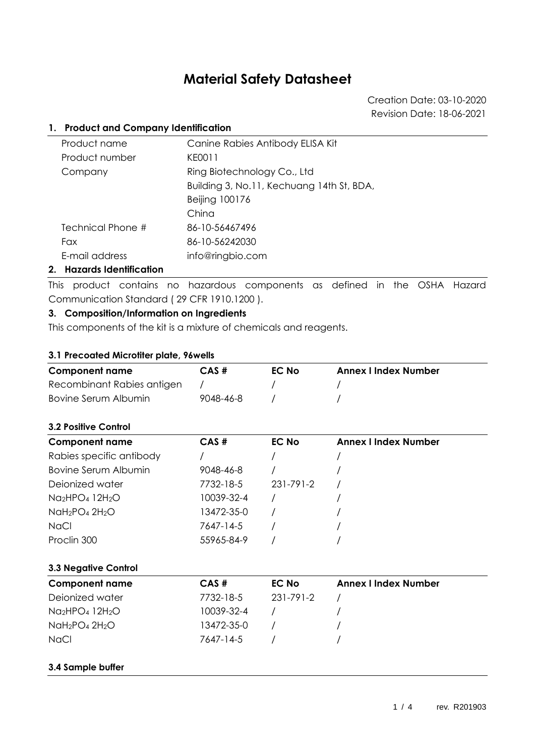# **Material Safety Datasheet**

Creation Date: 03-10-2020 Revision Date: 18-06-2021

## **1. Product and Company Identification**

| Product name      | Canine Rabies Antibody ELISA Kit          |
|-------------------|-------------------------------------------|
| Product number    | KE0011                                    |
| Company           | Ring Biotechnology Co., Ltd               |
|                   | Building 3, No.11, Kechuang 14th St, BDA, |
|                   | Beijing 100176                            |
|                   | China                                     |
| Technical Phone # | 86-10-56467496                            |
| <b>Fax</b>        | 86-10-56242030                            |
| E-mail address    | info@ringbio.com                          |
|                   |                                           |

# **2. Hazards Identification**

This product contains no hazardous components as defined in the OSHA Hazard Communication Standard ( 29 CFR 1910.1200 ).

# **3. Composition/Information on Ingredients**

This components of the kit is a mixture of chemicals and reagents.

## **3.1 Precoated Microtiter plate, 96wells**

| <b>Component name</b>      | CAS#      | <b>EC No</b> | <b>Annex I Index Number</b> |
|----------------------------|-----------|--------------|-----------------------------|
| Recombinant Rabies antigen |           |              |                             |
| Bovine Serum Albumin       | 9048-46-8 |              |                             |

## **3.2 Positive Control**

| <b>Component name</b>    | CAS#       | <b>EC No</b> | <b>Annex I Index Number</b> |  |
|--------------------------|------------|--------------|-----------------------------|--|
| Rabies specific antibody |            |              |                             |  |
| Bovine Serum Albumin     | 9048-46-8  |              |                             |  |
| Deionized water          | 7732-18-5  | 231-791-2    |                             |  |
| $Na2HPO412H2O$           | 10039-32-4 |              |                             |  |
| $NaH2PO4 2H2O$           | 13472-35-0 |              |                             |  |
| <b>NaCl</b>              | 7647-14-5  |              |                             |  |
| Proclin 300              | 55965-84-9 |              |                             |  |

# **3.3 Negative Control**

| <b>Component name</b> | $CAS \#$   | EC No     | <b>Annex I Index Number</b> |
|-----------------------|------------|-----------|-----------------------------|
| Deionized water       | 7732-18-5  | 231-791-2 |                             |
| $Na2HPO412H2O$        | 10039-32-4 |           |                             |
| $NaH_2PO_4 2H_2O$     | 13472-35-0 |           |                             |
| <b>NaCl</b>           | 7647-14-5  |           |                             |

## **3.4 Sample buffer**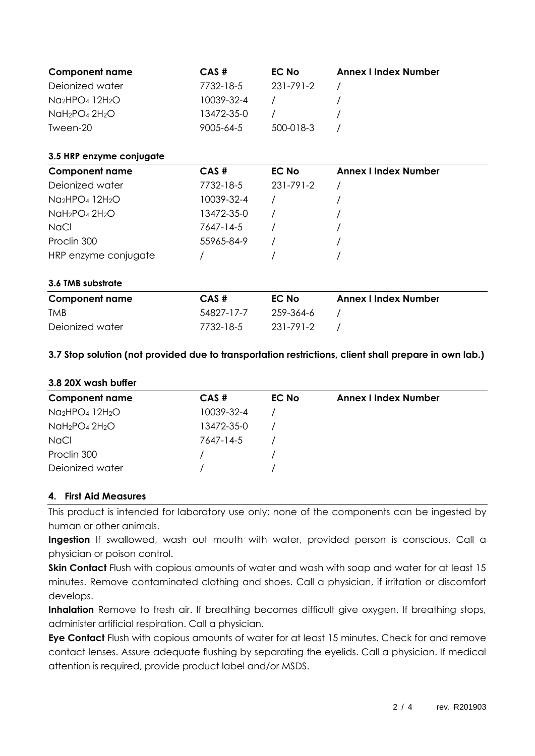| <b>Component name</b><br>Deionized water<br>Na <sub>2</sub> HPO <sub>4</sub> 12H <sub>2</sub> O<br>$N$ aH <sub>2</sub> PO <sub>4</sub> 2H <sub>2</sub> O<br>Tween-20 | CAS#<br>7732-18-5<br>10039-32-4<br>13472-35-0<br>9005-64-5 | <b>EC No</b><br>231-791-2<br>500-018-3 | <b>Annex I Index Number</b> |
|----------------------------------------------------------------------------------------------------------------------------------------------------------------------|------------------------------------------------------------|----------------------------------------|-----------------------------|
| 3.5 HRP enzyme conjugate                                                                                                                                             |                                                            |                                        |                             |
| <b>Component name</b>                                                                                                                                                | CAS#                                                       | <b>EC No</b>                           | <b>Annex I Index Number</b> |
| Dejonized water                                                                                                                                                      | 7732-18-5                                                  | 231-791-2                              |                             |
| $Na2HPO412H2O$                                                                                                                                                       | 10039-32-4                                                 |                                        |                             |
| $N$ aH <sub>2</sub> PO <sub>4</sub> 2H <sub>2</sub> O                                                                                                                | 13472-35-0                                                 |                                        |                             |
| <b>NaCl</b>                                                                                                                                                          | 7647-14-5                                                  |                                        |                             |
| Proclin 300                                                                                                                                                          | 55965-84-9                                                 |                                        |                             |
| HRP enzyme conjugate                                                                                                                                                 |                                                            |                                        |                             |
| 3.6 TMB substrate                                                                                                                                                    |                                                            |                                        |                             |
| <b>Component name</b>                                                                                                                                                | CAS#                                                       | <b>EC No</b>                           | <b>Annex I Index Number</b> |
| <b>TMB</b>                                                                                                                                                           | 54827-17-7                                                 | 259-364-6                              |                             |
| Deionized water                                                                                                                                                      | 7732-18-5                                                  | $231 - 791 - 2$                        |                             |

# **3.7 Stop solution (not provided due to transportation restrictions, client shall prepare in own lab.)**

| 3.8 20X wash buffer   |            |              |                             |
|-----------------------|------------|--------------|-----------------------------|
| <b>Component name</b> | $CAS \#$   | <b>EC No</b> | <b>Annex I Index Number</b> |
| $Na2HPO412H2O$        | 10039-32-4 |              |                             |
| $NaH2PO4 2H2O$        | 13472-35-0 |              |                             |
| <b>NaCl</b>           | 7647-14-5  |              |                             |
| Proclin 300           |            |              |                             |
| Deionized water       |            |              |                             |

## **4. First Aid Measures**

This product is intended for laboratory use only; none of the components can be ingested by human or other animals.

**Ingestion** If swallowed, wash out mouth with water, provided person is conscious. Call a physician or poison control.

**Skin Contact** Flush with copious amounts of water and wash with soap and water for at least 15 minutes. Remove contaminated clothing and shoes. Call a physician, if irritation or discomfort develops.

Inhalation Remove to fresh air. If breathing becomes difficult give oxygen. If breathing stops, administer artificial respiration. Call a physician.

**Eye Contact** Flush with copious amounts of water for at least 15 minutes. Check for and remove contact lenses. Assure adequate flushing by separating the eyelids. Call a physician. If medical attention is required, provide product label and/or MSDS.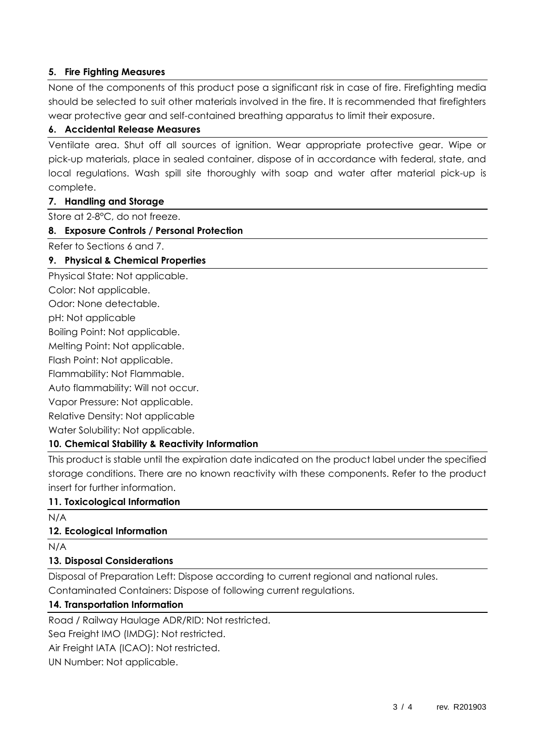# **5. Fire Fighting Measures**

None of the components of this product pose a significant risk in case of fire. Firefighting media should be selected to suit other materials involved in the fire. It is recommended that firefighters wear protective gear and self-contained breathing apparatus to limit their exposure.

## **6. Accidental Release Measures**

Ventilate area. Shut off all sources of ignition. Wear appropriate protective gear. Wipe or pick-up materials, place in sealed container, dispose of in accordance with federal, state, and local regulations. Wash spill site thoroughly with soap and water after material pick-up is complete.

#### **7. Handling and Storage**

Store at 2-8°C, do not freeze.

#### **8. Exposure Controls / Personal Protection**

Refer to Sections 6 and 7.

#### **9. Physical & Chemical Properties**

Physical State: Not applicable.

Color: Not applicable.

Odor: None detectable.

pH: Not applicable

Boiling Point: Not applicable.

Melting Point: Not applicable.

Flash Point: Not applicable.

Flammability: Not Flammable.

Auto flammability: Will not occur.

Vapor Pressure: Not applicable.

Relative Density: Not applicable

Water Solubility: Not applicable.

## **10. Chemical Stability & Reactivity Information**

This product is stable until the expiration date indicated on the product label under the specified storage conditions. There are no known reactivity with these components. Refer to the product insert for further information.

# **11. Toxicological Information**

N/A

## **12. Ecological Information**

N/A

## **13. Disposal Considerations**

Disposal of Preparation Left: Dispose according to current regional and national rules. Contaminated Containers: Dispose of following current regulations.

## **14. Transportation Information**

Road / Railway Haulage ADR/RID: Not restricted.

Sea Freight IMO (IMDG): Not restricted.

Air Freight IATA (ICAO): Not restricted.

UN Number: Not applicable.